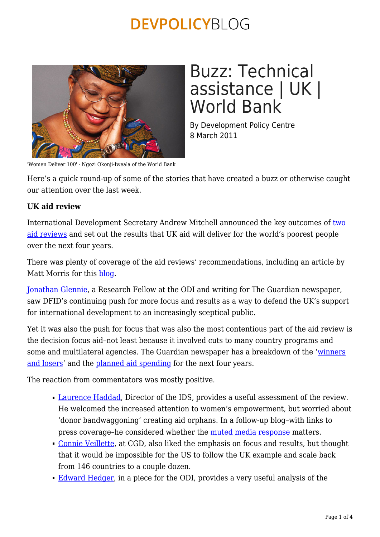

#### 'Women Deliver 100' - Ngozi Okonji-Iweala of the World Bank

# Buzz: Technical assistance | UK | World Bank

By Development Policy Centre 8 March 2011

Here's a quick round-up of some of the stories that have created a buzz or otherwise caught our attention over the last week.

### **UK aid review**

International Development Secretary Andrew Mitchell announced the key outcomes of [two](https://s3-eu-west-1.amazonaws.com/media.dfid.gov.uk/BAR-MAR-summary-document-web.pdf) [aid reviews](https://s3-eu-west-1.amazonaws.com/media.dfid.gov.uk/BAR-MAR-summary-document-web.pdf) and set out the results that UK aid will deliver for the world's poorest people over the next four years.

There was plenty of coverage of the aid reviews' recommendations, including an article by Matt Morris for this [blog.](https://devpolicy.org/six-lessons-from-the-uks-aid-reviews/)

[Jonathan Glennie](http://www.guardian.co.uk/global-development/poverty-matters/2011/mar/01/uk-aid-review-bilateral-multilateral), a Research Fellow at the ODI and writing for The Guardian newspaper, saw DFID's continuing push for more focus and results as a way to defend the UK's support for international development to an increasingly sceptical public.

Yet it was also the push for focus that was also the most contentious part of the aid review is the decision focus aid–not least because it involved cuts to many country programs and some and multilateral agencies. The Guardian newspaper has a breakdown of the '[winners](http://www.guardian.co.uk/global-development/poverty-matters/2011/mar/01/winners-losers-uk-aid-review-reaction) [and losers'](http://www.guardian.co.uk/global-development/poverty-matters/2011/mar/01/winners-losers-uk-aid-review-reaction) and the [planned aid spending](http://www.guardian.co.uk/news/datablog/2011/mar/01/uk-aid-review-cuts-dfid) for the next four years.

The reaction from commentators was mostly positive.

- **[Laurence Haddad](http://www.developmenthorizons.com/2011/03/six-things-we-learned-from-dfids-aid.html), Director of the IDS, provides a useful assessment of the review.** He welcomed the increased attention to women's empowerment, but worried about 'donor bandwaggoning' creating aid orphans. In a follow-up blog–with links to press coverage-he considered whether the [muted media response](http://www.developmenthorizons.com/2011/03/silence-is-golden-does-muted-uk-media.html) matters.
- [Connie Veillette](http://blogs.cgdev.org/mca-monitor/2011/03/dfid-rocks-a-new-uk-aid-report-promises-more-focus-will-the-united-states-follow.php), at CGD, also liked the emphasis on focus and results, but thought that it would be impossible for the US to follow the UK example and scale back from 146 countries to a couple dozen.
- [Edward Hedger](https://devpolicy.org/So decisions about where to allocate these funds are just as important for those concerned with the value for money of UK development assistance.), in a piece for the ODI, provides a very useful analysis of the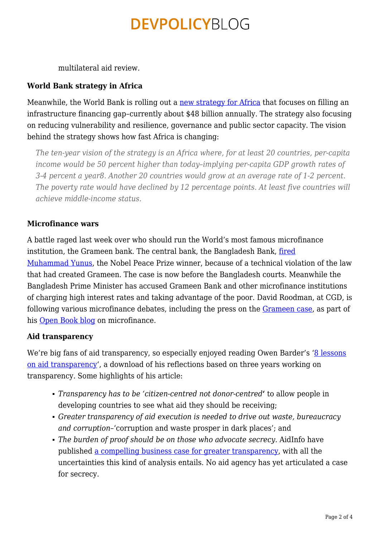multilateral aid review.

### **World Bank strategy in Africa**

Meanwhile, the World Bank is rolling out a [new strategy for Africa](http://web.worldbank.org/WBSITE/EXTERNAL/COUNTRIES/AFRICAEXT/0,,contentMDK:22846778~pagePK:146736~piPK:226340~theSitePK:258644,00.html) that focuses on filling an infrastructure financing gap–currently about \$48 billion annually. The strategy also focusing on reducing vulnerability and resilience, governance and public sector capacity. The vision behind the strategy shows how fast Africa is changing:

*The ten-year vision of the strategy is an Africa where, for at least 20 countries, per-capita income would be 50 percent higher than today–implying per-capita GDP growth rates of 3-4 percent a year8. Another 20 countries would grow at an average rate of 1-2 percent. The poverty rate would have declined by 12 percentage points. At least five countries will achieve middle-income status.*

### **Microfinance wars**

A battle raged last week over who should run the World's most famous microfinance institution, the Grameen bank. The central bank, the Bangladesh Bank, [fired](http://www.bbc.co.uk/news/world-middle-east-12619580) [Muhammad Yunus,](http://www.bbc.co.uk/news/world-middle-east-12619580) the Nobel Peace Prize winner, because of a technical violation of the law that had created Grameen. The case is now before the Bangladesh courts. Meanwhile the Bangladesh Prime Minister has accused Grameen Bank and other microfinance institutions of charging high interest rates and taking advantage of the poor. David Roodman, at CGD, is following various microfinance debates, including the press on the [Grameen case](http://blogs.cgdev.org/open_book/2011/03/yunus-press-blog-highlights.php), as part of his [Open Book blog](http://blogs.cgdev.org/open_book/) on microfinance.

### **Aid transparency**

We're big fans of aid transparency, so especially enjoyed reading Owen Barder's ['8 lessons](http://www.owen.org/blog/4433) [on aid transparency](http://www.owen.org/blog/4433)', a download of his reflections based on three years working on transparency. Some highlights of his article:

- *Transparency has to be 'citizen-centred not donor-centred***'** to allow people in developing countries to see what aid they should be receiving;
- *Greater transparency of aid execution is needed to drive out waste, bureaucracy and corruption*–'corruption and waste prosper in dark places'; and
- *The burden of proof should be on those who advocate secrecy.* AidInfo have published [a compelling business case for greater transparency](http://www.aidinfo.org/report/costs-benefits-analysis), with all the uncertainties this kind of analysis entails. No aid agency has yet articulated a case for secrecy.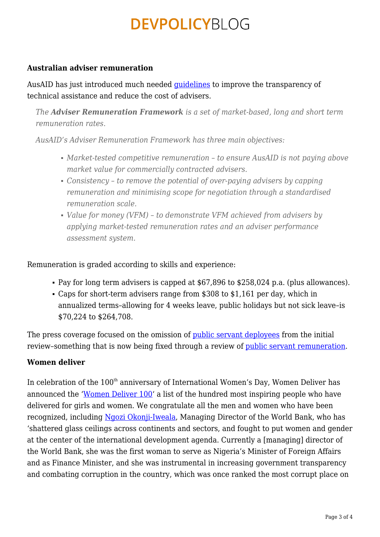#### **Australian adviser remuneration**

AusAID has just introduced much needed [guidelines](http://www.ausaid.gov.au/publications/pubout.cfm?ID=3994_1809_6357_1618_6763&Type=) to improve the transparency of technical assistance and reduce the cost of advisers.

*The Adviser Remuneration Framework is a set of market-based, long and short term remuneration rates.*

*AusAID's Adviser Remuneration Framework has three main objectives:*

- *Market-tested competitive remuneration to ensure AusAID is not paying above market value for commercially contracted advisers.*
- *Consistency to remove the potential of over-paying advisers by capping remuneration and minimising scope for negotiation through a standardised remuneration scale.*
- *Value for money (VFM) to demonstrate VFM achieved from advisers by applying market-tested remuneration rates and an adviser performance assessment system.*

Remuneration is graded according to skills and experience:

- Pay for long term advisers is capped at \$67,896 to \$258,024 p.a. (plus allowances).
- Caps for short-term advisers range from \$308 to \$1,161 per day, which in annualized terms–allowing for 4 weeks leave, public holidays but not sick leave–is \$70,224 to \$264,708.

The press coverage focused on the omission of <u>public servant deployees</u> from the initial review–something that is now being fixed through a review of [public servant remuneration](http://www.foreignminister.gov.au/releases/2011/kr_mr_110303.html).

### **Women deliver**

In celebration of the  $100<sup>th</sup>$  anniversary of International Women's Day, Women Deliver has announced the '[Women Deliver 100'](http://www.womendeliver.org/knowledge-center/publications/women-deliver-100/) a list of the hundred most inspiring people who have delivered for girls and women. We congratulate all the men and women who have been recognized, including [Ngozi Okonji-Iweala](http://www.womendeliver.org/knowledge-center/publications/women-deliver-100/women-deliver-100-26-50/#ngozi), Managing Director of the World Bank, who has 'shattered glass ceilings across continents and sectors, and fought to put women and gender at the center of the international development agenda. Currently a [managing] director of the World Bank, she was the first woman to serve as Nigeria's Minister of Foreign Affairs and as Finance Minister, and she was instrumental in increasing government transparency and combating corruption in the country, which was once ranked the most corrupt place on